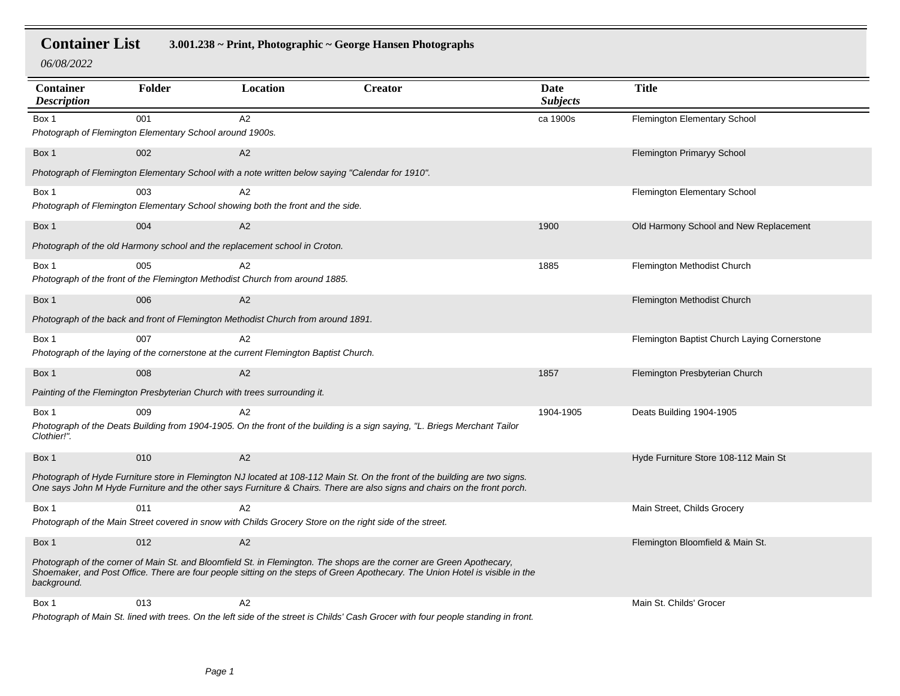**Container List 3.001.238 ~ Print, Photographic ~ George Hansen Photographs**

*06/08/2022*

| <b>Container</b><br><b>Description</b>                                                                                                                                                                                                                                | Folder                                                                    | Location                                                                                         | <b>Creator</b>                                                                                                                                                                                                                                           | Date<br><b>Subjects</b> | <b>Title</b>                                 |  |
|-----------------------------------------------------------------------------------------------------------------------------------------------------------------------------------------------------------------------------------------------------------------------|---------------------------------------------------------------------------|--------------------------------------------------------------------------------------------------|----------------------------------------------------------------------------------------------------------------------------------------------------------------------------------------------------------------------------------------------------------|-------------------------|----------------------------------------------|--|
| Box 1                                                                                                                                                                                                                                                                 | 001                                                                       | A2                                                                                               |                                                                                                                                                                                                                                                          | ca 1900s                | Flemington Elementary School                 |  |
|                                                                                                                                                                                                                                                                       | Photograph of Flemington Elementary School around 1900s.                  |                                                                                                  |                                                                                                                                                                                                                                                          |                         |                                              |  |
| Box 1                                                                                                                                                                                                                                                                 | 002                                                                       | A2                                                                                               |                                                                                                                                                                                                                                                          |                         | <b>Flemington Primaryy School</b>            |  |
|                                                                                                                                                                                                                                                                       |                                                                           | Photograph of Flemington Elementary School with a note written below saying "Calendar for 1910". |                                                                                                                                                                                                                                                          |                         |                                              |  |
| Box 1                                                                                                                                                                                                                                                                 | 003                                                                       | A2                                                                                               |                                                                                                                                                                                                                                                          |                         | Flemington Elementary School                 |  |
|                                                                                                                                                                                                                                                                       |                                                                           | Photograph of Flemington Elementary School showing both the front and the side.                  |                                                                                                                                                                                                                                                          |                         |                                              |  |
| Box 1                                                                                                                                                                                                                                                                 | 004                                                                       | A <sub>2</sub>                                                                                   |                                                                                                                                                                                                                                                          | 1900                    | Old Harmony School and New Replacement       |  |
|                                                                                                                                                                                                                                                                       |                                                                           | Photograph of the old Harmony school and the replacement school in Croton.                       |                                                                                                                                                                                                                                                          |                         |                                              |  |
| Box 1                                                                                                                                                                                                                                                                 | 005                                                                       | A <sub>2</sub>                                                                                   |                                                                                                                                                                                                                                                          | 1885                    | Flemington Methodist Church                  |  |
|                                                                                                                                                                                                                                                                       |                                                                           | Photograph of the front of the Flemington Methodist Church from around 1885.                     |                                                                                                                                                                                                                                                          |                         |                                              |  |
| Box 1                                                                                                                                                                                                                                                                 | 006                                                                       | A2                                                                                               |                                                                                                                                                                                                                                                          |                         | Flemington Methodist Church                  |  |
| Photograph of the back and front of Flemington Methodist Church from around 1891.                                                                                                                                                                                     |                                                                           |                                                                                                  |                                                                                                                                                                                                                                                          |                         |                                              |  |
| Box 1                                                                                                                                                                                                                                                                 | 007                                                                       | A2                                                                                               |                                                                                                                                                                                                                                                          |                         | Flemington Baptist Church Laying Cornerstone |  |
|                                                                                                                                                                                                                                                                       |                                                                           | Photograph of the laying of the cornerstone at the current Flemington Baptist Church.            |                                                                                                                                                                                                                                                          |                         |                                              |  |
| Box 1                                                                                                                                                                                                                                                                 | 008                                                                       | A2                                                                                               |                                                                                                                                                                                                                                                          | 1857                    | Flemington Presbyterian Church               |  |
|                                                                                                                                                                                                                                                                       | Painting of the Flemington Presbyterian Church with trees surrounding it. |                                                                                                  |                                                                                                                                                                                                                                                          |                         |                                              |  |
| Box 1                                                                                                                                                                                                                                                                 | 009                                                                       | A2                                                                                               |                                                                                                                                                                                                                                                          | 1904-1905               | Deats Building 1904-1905                     |  |
| Clothier!".                                                                                                                                                                                                                                                           |                                                                           |                                                                                                  | Photograph of the Deats Building from 1904-1905. On the front of the building is a sign saying, "L. Briegs Merchant Tailor                                                                                                                               |                         |                                              |  |
| Box 1                                                                                                                                                                                                                                                                 | 010                                                                       | A2                                                                                               |                                                                                                                                                                                                                                                          |                         | Hyde Furniture Store 108-112 Main St         |  |
|                                                                                                                                                                                                                                                                       |                                                                           |                                                                                                  | Photograph of Hyde Furniture store in Flemington NJ located at 108-112 Main St. On the front of the building are two signs.<br>One says John M Hyde Furniture and the other says Furniture & Chairs. There are also signs and chairs on the front porch. |                         |                                              |  |
| Box 1                                                                                                                                                                                                                                                                 | 011                                                                       | A2                                                                                               |                                                                                                                                                                                                                                                          |                         | Main Street, Childs Grocery                  |  |
| Photograph of the Main Street covered in snow with Childs Grocery Store on the right side of the street.                                                                                                                                                              |                                                                           |                                                                                                  |                                                                                                                                                                                                                                                          |                         |                                              |  |
| Box 1                                                                                                                                                                                                                                                                 | 012                                                                       | A2                                                                                               |                                                                                                                                                                                                                                                          |                         | Flemington Bloomfield & Main St.             |  |
| Photograph of the corner of Main St. and Bloomfield St. in Flemington. The shops are the corner are Green Apothecary,<br>Shoemaker, and Post Office. There are four people sitting on the steps of Green Apothecary. The Union Hotel is visible in the<br>background. |                                                                           |                                                                                                  |                                                                                                                                                                                                                                                          |                         |                                              |  |
| Box 1                                                                                                                                                                                                                                                                 | 013                                                                       | A <sub>2</sub>                                                                                   |                                                                                                                                                                                                                                                          |                         | Main St. Childs' Grocer                      |  |
|                                                                                                                                                                                                                                                                       |                                                                           |                                                                                                  | Photograph of Main St. lined with trees. On the left side of the street is Childs' Cash Grocer with four people standing in front.                                                                                                                       |                         |                                              |  |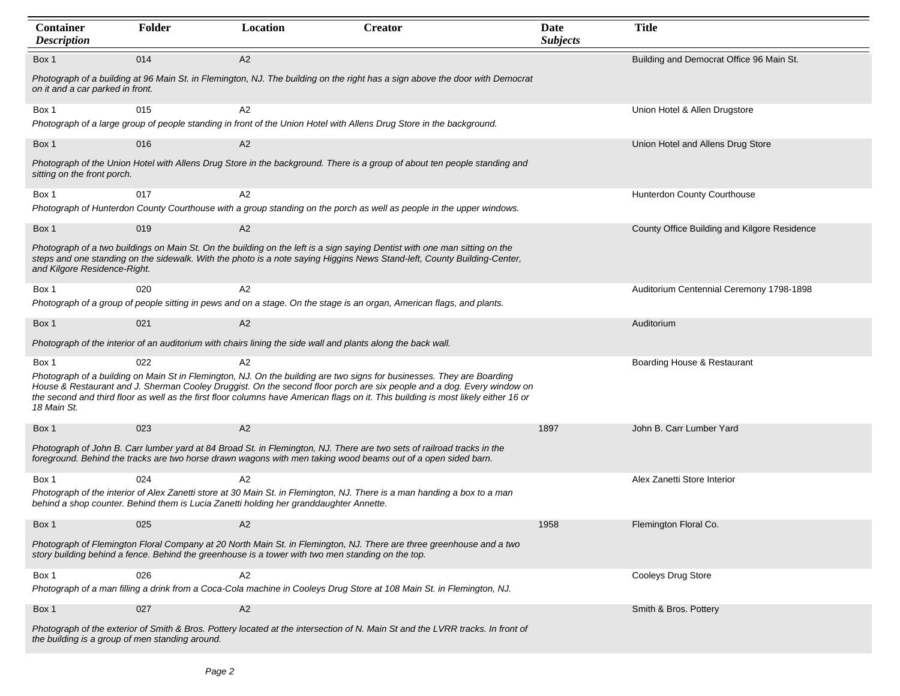| Container<br><b>Description</b>                 | Folder | Location                                                                                                     | <b>Creator</b>                                                                                                                                                                                                                                                                                                                                                                         | Date<br><b>Subjects</b> | <b>Title</b>                                 |
|-------------------------------------------------|--------|--------------------------------------------------------------------------------------------------------------|----------------------------------------------------------------------------------------------------------------------------------------------------------------------------------------------------------------------------------------------------------------------------------------------------------------------------------------------------------------------------------------|-------------------------|----------------------------------------------|
| Box 1                                           | 014    | A2                                                                                                           |                                                                                                                                                                                                                                                                                                                                                                                        |                         | Building and Democrat Office 96 Main St.     |
| on it and a car parked in front.                |        |                                                                                                              | Photograph of a building at 96 Main St. in Flemington, NJ. The building on the right has a sign above the door with Democrat                                                                                                                                                                                                                                                           |                         |                                              |
| Box 1                                           | 015    | A2                                                                                                           |                                                                                                                                                                                                                                                                                                                                                                                        |                         | Union Hotel & Allen Drugstore                |
|                                                 |        |                                                                                                              | Photograph of a large group of people standing in front of the Union Hotel with Allens Drug Store in the background.                                                                                                                                                                                                                                                                   |                         |                                              |
| Box 1                                           | 016    | A2                                                                                                           |                                                                                                                                                                                                                                                                                                                                                                                        |                         | Union Hotel and Allens Drug Store            |
| sitting on the front porch.                     |        |                                                                                                              | Photograph of the Union Hotel with Allens Drug Store in the background. There is a group of about ten people standing and                                                                                                                                                                                                                                                              |                         |                                              |
| Box 1                                           | 017    | A2                                                                                                           |                                                                                                                                                                                                                                                                                                                                                                                        |                         | Hunterdon County Courthouse                  |
|                                                 |        |                                                                                                              | Photograph of Hunterdon County Courthouse with a group standing on the porch as well as people in the upper windows.                                                                                                                                                                                                                                                                   |                         |                                              |
| Box 1                                           | 019    | A2                                                                                                           |                                                                                                                                                                                                                                                                                                                                                                                        |                         | County Office Building and Kilgore Residence |
| and Kilgore Residence-Right.                    |        |                                                                                                              | Photograph of a two buildings on Main St. On the building on the left is a sign saying Dentist with one man sitting on the<br>steps and one standing on the sidewalk. With the photo is a note saying Higgins News Stand-left, County Building-Center,                                                                                                                                 |                         |                                              |
| Box 1                                           | 020    | A2                                                                                                           |                                                                                                                                                                                                                                                                                                                                                                                        |                         | Auditorium Centennial Ceremony 1798-1898     |
|                                                 |        |                                                                                                              | Photograph of a group of people sitting in pews and on a stage. On the stage is an organ, American flags, and plants.                                                                                                                                                                                                                                                                  |                         |                                              |
| Box 1                                           | 021    | A2                                                                                                           |                                                                                                                                                                                                                                                                                                                                                                                        |                         | Auditorium                                   |
|                                                 |        | Photograph of the interior of an auditorium with chairs lining the side wall and plants along the back wall. |                                                                                                                                                                                                                                                                                                                                                                                        |                         |                                              |
| Box 1<br>18 Main St.                            | 022    | A2                                                                                                           | Photograph of a building on Main St in Flemington, NJ. On the building are two signs for businesses. They are Boarding<br>House & Restaurant and J. Sherman Cooley Druggist. On the second floor porch are six people and a dog. Every window on<br>the second and third floor as well as the first floor columns have American flags on it. This building is most likely either 16 or |                         | Boarding House & Restaurant                  |
| Box 1                                           | 023    | A2                                                                                                           |                                                                                                                                                                                                                                                                                                                                                                                        | 1897                    | John B. Carr Lumber Yard                     |
|                                                 |        |                                                                                                              | Photograph of John B. Carr lumber yard at 84 Broad St. in Flemington, NJ. There are two sets of railroad tracks in the<br>foreground. Behind the tracks are two horse drawn wagons with men taking wood beams out of a open sided barn.                                                                                                                                                |                         |                                              |
| Box 1                                           | 024    | A2                                                                                                           |                                                                                                                                                                                                                                                                                                                                                                                        |                         | Alex Zanetti Store Interior                  |
|                                                 |        | behind a shop counter. Behind them is Lucia Zanetti holding her granddaughter Annette.                       | Photograph of the interior of Alex Zanetti store at 30 Main St. in Flemington, NJ. There is a man handing a box to a man                                                                                                                                                                                                                                                               |                         |                                              |
| Box 1                                           | 025    | A <sub>2</sub>                                                                                               |                                                                                                                                                                                                                                                                                                                                                                                        | 1958                    | Flemington Floral Co.                        |
|                                                 |        | story building behind a fence. Behind the greenhouse is a tower with two men standing on the top.            | Photograph of Flemington Floral Company at 20 North Main St. in Flemington, NJ. There are three greenhouse and a two                                                                                                                                                                                                                                                                   |                         |                                              |
| Box 1                                           | 026    | A2                                                                                                           |                                                                                                                                                                                                                                                                                                                                                                                        |                         | Cooleys Drug Store                           |
|                                                 |        |                                                                                                              | Photograph of a man filling a drink from a Coca-Cola machine in Cooleys Drug Store at 108 Main St. in Flemington, NJ.                                                                                                                                                                                                                                                                  |                         |                                              |
| Box 1                                           | 027    | A2                                                                                                           |                                                                                                                                                                                                                                                                                                                                                                                        |                         | Smith & Bros. Pottery                        |
| the building is a group of men standing around. |        |                                                                                                              | Photograph of the exterior of Smith & Bros. Pottery located at the intersection of N. Main St and the LVRR tracks. In front of                                                                                                                                                                                                                                                         |                         |                                              |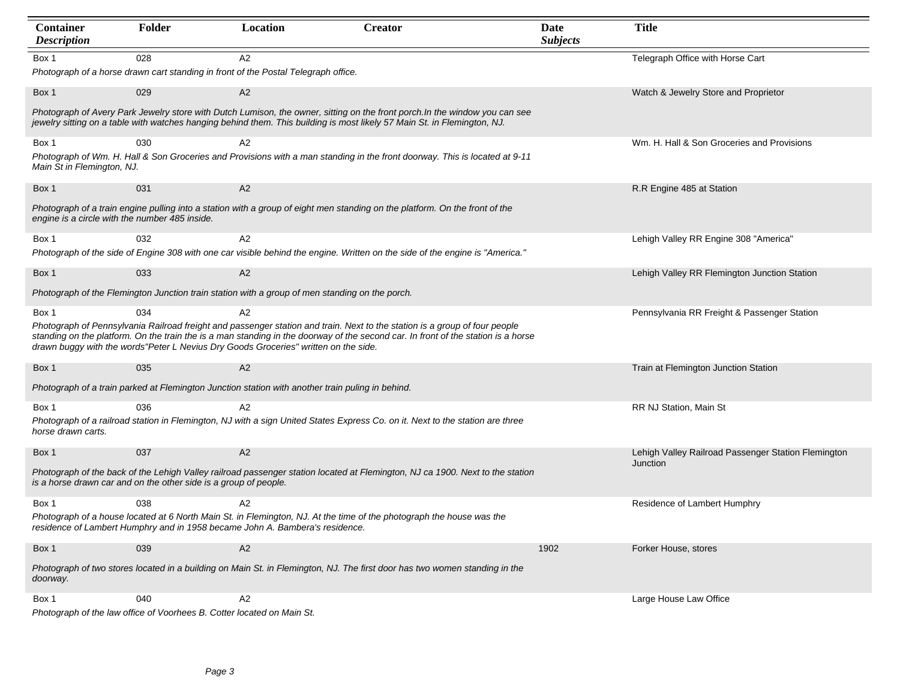| <b>Container</b><br><b>Description</b>         | Folder                                                           | Location                                                                                         | <b>Creator</b>                                                                                                                                                                                                                                                  | Date<br><b>Subjects</b> | <b>Title</b>                                                    |
|------------------------------------------------|------------------------------------------------------------------|--------------------------------------------------------------------------------------------------|-----------------------------------------------------------------------------------------------------------------------------------------------------------------------------------------------------------------------------------------------------------------|-------------------------|-----------------------------------------------------------------|
| Box 1                                          | 028                                                              | A2<br>Photograph of a horse drawn cart standing in front of the Postal Telegraph office.         |                                                                                                                                                                                                                                                                 |                         | Telegraph Office with Horse Cart                                |
| Box 1                                          | 029                                                              | A2                                                                                               |                                                                                                                                                                                                                                                                 |                         | Watch & Jewelry Store and Proprietor                            |
|                                                |                                                                  |                                                                                                  | Photograph of Avery Park Jewelry store with Dutch Lumison, the owner, sitting on the front porch. In the window you can see<br>jewelry sitting on a table with watches hanging behind them. This building is most likely 57 Main St. in Flemington, NJ.         |                         |                                                                 |
| Box 1<br>Main St in Flemington, NJ.            | 030                                                              | A2                                                                                               | Photograph of Wm. H. Hall & Son Groceries and Provisions with a man standing in the front doorway. This is located at 9-11                                                                                                                                      |                         | Wm. H. Hall & Son Groceries and Provisions                      |
| Box 1                                          | 031                                                              | A2                                                                                               |                                                                                                                                                                                                                                                                 |                         | R.R Engine 485 at Station                                       |
| engine is a circle with the number 485 inside. |                                                                  |                                                                                                  | Photograph of a train engine pulling into a station with a group of eight men standing on the platform. On the front of the                                                                                                                                     |                         |                                                                 |
| Box 1                                          | 032                                                              | A2                                                                                               |                                                                                                                                                                                                                                                                 |                         | Lehigh Valley RR Engine 308 "America"                           |
|                                                |                                                                  |                                                                                                  | Photograph of the side of Engine 308 with one car visible behind the engine. Written on the side of the engine is "America."                                                                                                                                    |                         |                                                                 |
| Box 1                                          | 033                                                              | A2                                                                                               |                                                                                                                                                                                                                                                                 |                         | Lehigh Valley RR Flemington Junction Station                    |
|                                                |                                                                  | Photograph of the Flemington Junction train station with a group of men standing on the porch.   |                                                                                                                                                                                                                                                                 |                         |                                                                 |
| Box 1                                          | 034                                                              | A2                                                                                               |                                                                                                                                                                                                                                                                 |                         | Pennsylvania RR Freight & Passenger Station                     |
|                                                |                                                                  | drawn buggy with the words"Peter L Nevius Dry Goods Groceries" written on the side.              | Photograph of Pennsylvania Railroad freight and passenger station and train. Next to the station is a group of four people<br>standing on the platform. On the train the is a man standing in the doorway of the second car. In front of the station is a horse |                         |                                                                 |
| Box 1                                          | 035                                                              | A2                                                                                               |                                                                                                                                                                                                                                                                 |                         | Train at Flemington Junction Station                            |
|                                                |                                                                  | Photograph of a train parked at Flemington Junction station with another train puling in behind. |                                                                                                                                                                                                                                                                 |                         |                                                                 |
| Box 1                                          | 036                                                              | A2                                                                                               |                                                                                                                                                                                                                                                                 |                         | RR NJ Station, Main St                                          |
| horse drawn carts.                             |                                                                  |                                                                                                  | Photograph of a railroad station in Flemington, NJ with a sign United States Express Co. on it. Next to the station are three                                                                                                                                   |                         |                                                                 |
| Box 1                                          | 037                                                              | A2                                                                                               |                                                                                                                                                                                                                                                                 |                         | Lehigh Valley Railroad Passenger Station Flemington<br>Junction |
|                                                | is a horse drawn car and on the other side is a group of people. |                                                                                                  | Photograph of the back of the Lehigh Valley railroad passenger station located at Flemington, NJ ca 1900. Next to the station                                                                                                                                   |                         |                                                                 |
| Box 1                                          | 038                                                              | A2                                                                                               |                                                                                                                                                                                                                                                                 |                         | Residence of Lambert Humphry                                    |
|                                                |                                                                  | residence of Lambert Humphry and in 1958 became John A. Bambera's residence.                     | Photograph of a house located at 6 North Main St. in Flemington, NJ. At the time of the photograph the house was the                                                                                                                                            |                         |                                                                 |
| Box 1                                          | 039                                                              | A2                                                                                               |                                                                                                                                                                                                                                                                 | 1902                    | Forker House, stores                                            |
| doorway.                                       |                                                                  |                                                                                                  | Photograph of two stores located in a building on Main St. in Flemington, NJ. The first door has two women standing in the                                                                                                                                      |                         |                                                                 |
| Box 1                                          | 040                                                              | A2                                                                                               |                                                                                                                                                                                                                                                                 |                         | Large House Law Office                                          |

*Photograph of the law office of Voorhees B. Cotter located on Main St.*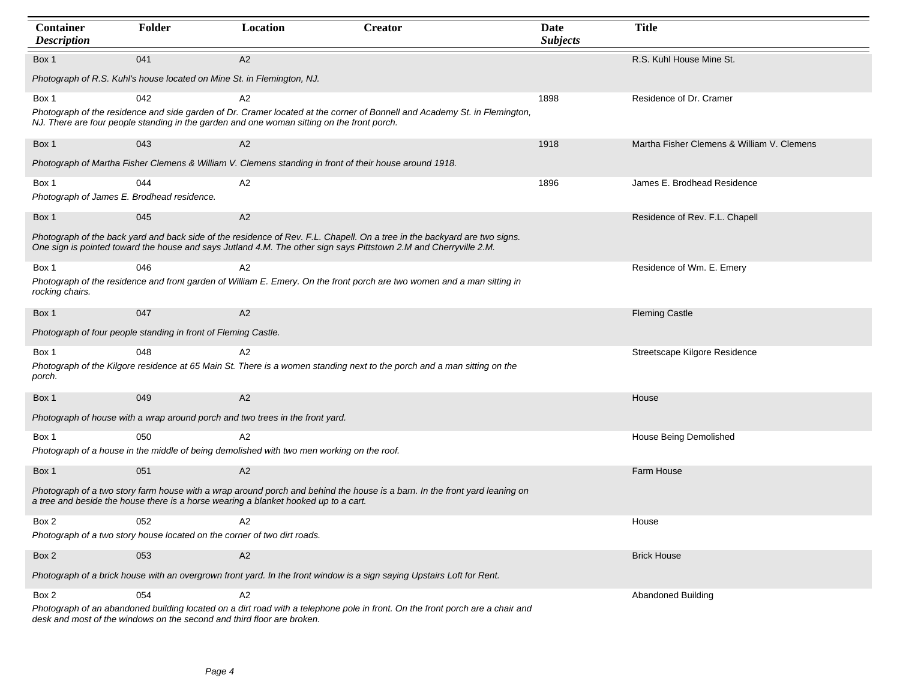| Container<br><b>Description</b>                                                                                                                                                                                   | Folder                                                                        | Location                                                                                               | <b>Creator</b>                                                                                                                                                                                                                                 | Date<br><b>Subjects</b> | <b>Title</b>                               |  |  |
|-------------------------------------------------------------------------------------------------------------------------------------------------------------------------------------------------------------------|-------------------------------------------------------------------------------|--------------------------------------------------------------------------------------------------------|------------------------------------------------------------------------------------------------------------------------------------------------------------------------------------------------------------------------------------------------|-------------------------|--------------------------------------------|--|--|
| Box 1                                                                                                                                                                                                             | 041                                                                           | A2                                                                                                     |                                                                                                                                                                                                                                                |                         | R.S. Kuhl House Mine St.                   |  |  |
| Photograph of R.S. Kuhl's house located on Mine St. in Flemington, NJ.                                                                                                                                            |                                                                               |                                                                                                        |                                                                                                                                                                                                                                                |                         |                                            |  |  |
| Box 1                                                                                                                                                                                                             | 042                                                                           | A2<br>NJ. There are four people standing in the garden and one woman sitting on the front porch.       | Photograph of the residence and side garden of Dr. Cramer located at the corner of Bonnell and Academy St. in Flemington,                                                                                                                      | 1898                    | Residence of Dr. Cramer                    |  |  |
| Box 1                                                                                                                                                                                                             | 043                                                                           | A2                                                                                                     |                                                                                                                                                                                                                                                | 1918                    | Martha Fisher Clemens & William V. Clemens |  |  |
|                                                                                                                                                                                                                   |                                                                               | Photograph of Martha Fisher Clemens & William V. Clemens standing in front of their house around 1918. |                                                                                                                                                                                                                                                |                         |                                            |  |  |
| Box 1<br>Photograph of James E. Brodhead residence.                                                                                                                                                               | 044                                                                           | A2                                                                                                     |                                                                                                                                                                                                                                                | 1896                    | James E. Brodhead Residence                |  |  |
| Box 1                                                                                                                                                                                                             | 045                                                                           | A2                                                                                                     |                                                                                                                                                                                                                                                |                         | Residence of Rev. F.L. Chapell             |  |  |
|                                                                                                                                                                                                                   |                                                                               |                                                                                                        | Photograph of the back yard and back side of the residence of Rev. F.L. Chapell. On a tree in the backyard are two signs.<br>One sign is pointed toward the house and says Jutland 4.M. The other sign says Pittstown 2.M and Cherryville 2.M. |                         |                                            |  |  |
| Box 1                                                                                                                                                                                                             | 046                                                                           | A2                                                                                                     |                                                                                                                                                                                                                                                |                         | Residence of Wm. E. Emery                  |  |  |
| rocking chairs.                                                                                                                                                                                                   |                                                                               |                                                                                                        | Photograph of the residence and front garden of William E. Emery. On the front porch are two women and a man sitting in                                                                                                                        |                         |                                            |  |  |
| Box 1                                                                                                                                                                                                             | 047                                                                           | A2                                                                                                     |                                                                                                                                                                                                                                                |                         | <b>Fleming Castle</b>                      |  |  |
| Photograph of four people standing in front of Fleming Castle.                                                                                                                                                    |                                                                               |                                                                                                        |                                                                                                                                                                                                                                                |                         |                                            |  |  |
| Box 1                                                                                                                                                                                                             | 048                                                                           | A2                                                                                                     |                                                                                                                                                                                                                                                |                         | Streetscape Kilgore Residence              |  |  |
| porch.                                                                                                                                                                                                            |                                                                               |                                                                                                        | Photograph of the Kilgore residence at 65 Main St. There is a women standing next to the porch and a man sitting on the                                                                                                                        |                         |                                            |  |  |
| Box 1                                                                                                                                                                                                             | 049                                                                           | A2                                                                                                     |                                                                                                                                                                                                                                                |                         | House                                      |  |  |
|                                                                                                                                                                                                                   | Photograph of house with a wrap around porch and two trees in the front yard. |                                                                                                        |                                                                                                                                                                                                                                                |                         |                                            |  |  |
| Box 1                                                                                                                                                                                                             | 050                                                                           | A2                                                                                                     |                                                                                                                                                                                                                                                |                         | House Being Demolished                     |  |  |
|                                                                                                                                                                                                                   |                                                                               | Photograph of a house in the middle of being demolished with two men working on the roof.              |                                                                                                                                                                                                                                                |                         |                                            |  |  |
| Box 1                                                                                                                                                                                                             | 051                                                                           | A2                                                                                                     |                                                                                                                                                                                                                                                |                         | Farm House                                 |  |  |
| Photograph of a two story farm house with a wrap around porch and behind the house is a barn. In the front yard leaning on<br>a tree and beside the house there is a horse wearing a blanket hooked up to a cart. |                                                                               |                                                                                                        |                                                                                                                                                                                                                                                |                         |                                            |  |  |
| Box 2                                                                                                                                                                                                             | 052                                                                           | A <sub>2</sub>                                                                                         |                                                                                                                                                                                                                                                |                         | House                                      |  |  |
| Photograph of a two story house located on the corner of two dirt roads.                                                                                                                                          |                                                                               |                                                                                                        |                                                                                                                                                                                                                                                |                         |                                            |  |  |
| Box 2                                                                                                                                                                                                             | 053                                                                           | A2                                                                                                     |                                                                                                                                                                                                                                                |                         | <b>Brick House</b>                         |  |  |
| Photograph of a brick house with an overgrown front yard. In the front window is a sign saying Upstairs Loft for Rent.                                                                                            |                                                                               |                                                                                                        |                                                                                                                                                                                                                                                |                         |                                            |  |  |
| Box 2                                                                                                                                                                                                             | 054                                                                           | A2                                                                                                     | Photograph of an abandoned building located on a dirt road with a telephone pole in front. On the front porch are a chair and                                                                                                                  |                         | <b>Abandoned Building</b>                  |  |  |

*desk and most of the windows on the second and third floor are broken.*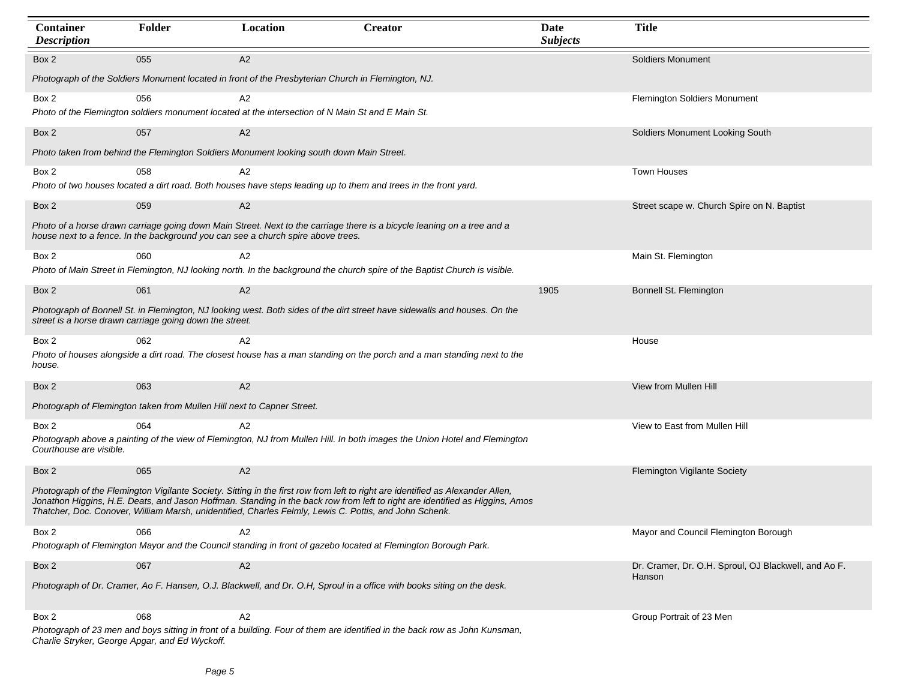| Container<br><b>Description</b>                | Folder                                                                                                                           | Location                                                                                                        | <b>Creator</b>                                                                                                                                                                                                                                                 | Date<br><b>Subjects</b> | <b>Title</b>                                         |  |  |  |
|------------------------------------------------|----------------------------------------------------------------------------------------------------------------------------------|-----------------------------------------------------------------------------------------------------------------|----------------------------------------------------------------------------------------------------------------------------------------------------------------------------------------------------------------------------------------------------------------|-------------------------|------------------------------------------------------|--|--|--|
| Box 2                                          | 055                                                                                                                              | A2                                                                                                              |                                                                                                                                                                                                                                                                |                         | <b>Soldiers Monument</b>                             |  |  |  |
|                                                | Photograph of the Soldiers Monument located in front of the Presbyterian Church in Flemington, NJ.                               |                                                                                                                 |                                                                                                                                                                                                                                                                |                         |                                                      |  |  |  |
| Box 2                                          | 056                                                                                                                              | A2<br>Photo of the Flemington soldiers monument located at the intersection of N Main St and E Main St.         |                                                                                                                                                                                                                                                                |                         | Flemington Soldiers Monument                         |  |  |  |
| Box 2                                          | 057                                                                                                                              | A2                                                                                                              |                                                                                                                                                                                                                                                                |                         | Soldiers Monument Looking South                      |  |  |  |
|                                                |                                                                                                                                  | Photo taken from behind the Flemington Soldiers Monument looking south down Main Street.                        |                                                                                                                                                                                                                                                                |                         |                                                      |  |  |  |
| Box 2                                          | 058                                                                                                                              | A2                                                                                                              |                                                                                                                                                                                                                                                                |                         | Town Houses                                          |  |  |  |
|                                                |                                                                                                                                  | Photo of two houses located a dirt road. Both houses have steps leading up to them and trees in the front yard. |                                                                                                                                                                                                                                                                |                         |                                                      |  |  |  |
| Box 2                                          | 059                                                                                                                              | A2                                                                                                              |                                                                                                                                                                                                                                                                |                         | Street scape w. Church Spire on N. Baptist           |  |  |  |
|                                                |                                                                                                                                  | house next to a fence. In the background you can see a church spire above trees.                                | Photo of a horse drawn carriage going down Main Street. Next to the carriage there is a bicycle leaning on a tree and a                                                                                                                                        |                         |                                                      |  |  |  |
| Box 2                                          | 060                                                                                                                              | A2                                                                                                              |                                                                                                                                                                                                                                                                |                         | Main St. Flemington                                  |  |  |  |
|                                                |                                                                                                                                  |                                                                                                                 | Photo of Main Street in Flemington, NJ looking north. In the background the church spire of the Baptist Church is visible.                                                                                                                                     |                         |                                                      |  |  |  |
| Box 2                                          | 061                                                                                                                              | A2                                                                                                              |                                                                                                                                                                                                                                                                | 1905                    | Bonnell St. Flemington                               |  |  |  |
|                                                | street is a horse drawn carriage going down the street.                                                                          |                                                                                                                 | Photograph of Bonnell St. in Flemington, NJ looking west. Both sides of the dirt street have sidewalls and houses. On the                                                                                                                                      |                         |                                                      |  |  |  |
| Box 2                                          | 062                                                                                                                              | A2                                                                                                              |                                                                                                                                                                                                                                                                |                         | House                                                |  |  |  |
| house.                                         |                                                                                                                                  |                                                                                                                 | Photo of houses alongside a dirt road. The closest house has a man standing on the porch and a man standing next to the                                                                                                                                        |                         |                                                      |  |  |  |
| Box 2                                          | 063                                                                                                                              | A2                                                                                                              |                                                                                                                                                                                                                                                                |                         | View from Mullen Hill                                |  |  |  |
|                                                | Photograph of Flemington taken from Mullen Hill next to Capner Street.                                                           |                                                                                                                 |                                                                                                                                                                                                                                                                |                         |                                                      |  |  |  |
| Box 2                                          | 064                                                                                                                              | A2                                                                                                              |                                                                                                                                                                                                                                                                |                         | View to East from Mullen Hill                        |  |  |  |
| Courthouse are visible.                        |                                                                                                                                  |                                                                                                                 | Photograph above a painting of the view of Flemington, NJ from Mullen Hill. In both images the Union Hotel and Flemington                                                                                                                                      |                         |                                                      |  |  |  |
| Box 2                                          | 065                                                                                                                              | A2                                                                                                              |                                                                                                                                                                                                                                                                |                         | Flemington Vigilante Society                         |  |  |  |
|                                                |                                                                                                                                  | Thatcher, Doc. Conover, William Marsh, unidentified, Charles Felmly, Lewis C. Pottis, and John Schenk.          | Photograph of the Flemington Vigilante Society. Sitting in the first row from left to right are identified as Alexander Allen,<br>Jonathon Higgins, H.E. Deats, and Jason Hoffman. Standing in the back row from left to right are identified as Higgins, Amos |                         |                                                      |  |  |  |
| Box 2                                          | 066                                                                                                                              | A2                                                                                                              |                                                                                                                                                                                                                                                                |                         | Mayor and Council Flemington Borough                 |  |  |  |
|                                                |                                                                                                                                  |                                                                                                                 | Photograph of Flemington Mayor and the Council standing in front of gazebo located at Flemington Borough Park.                                                                                                                                                 |                         |                                                      |  |  |  |
| Box 2                                          | 067                                                                                                                              | A2                                                                                                              |                                                                                                                                                                                                                                                                |                         | Dr. Cramer, Dr. O.H. Sproul, OJ Blackwell, and Ao F. |  |  |  |
|                                                | Hanson<br>Photograph of Dr. Cramer, Ao F. Hansen, O.J. Blackwell, and Dr. O.H, Sproul in a office with books siting on the desk. |                                                                                                                 |                                                                                                                                                                                                                                                                |                         |                                                      |  |  |  |
| Box 2                                          | 068                                                                                                                              | A <sub>2</sub>                                                                                                  |                                                                                                                                                                                                                                                                |                         | Group Portrait of 23 Men                             |  |  |  |
| Charlie Stryker, George Apgar, and Ed Wyckoff. |                                                                                                                                  |                                                                                                                 | Photograph of 23 men and boys sitting in front of a building. Four of them are identified in the back row as John Kunsman,                                                                                                                                     |                         |                                                      |  |  |  |